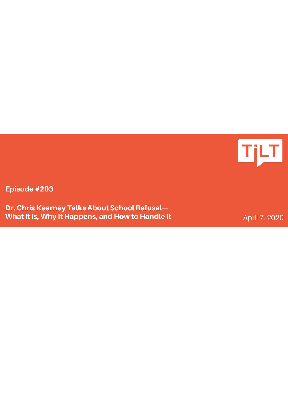

Episode #203

Dr. Chris Kearney Talks About School Refusal-What It Is, Why It Happens, and How to Handle It

April 7, 2020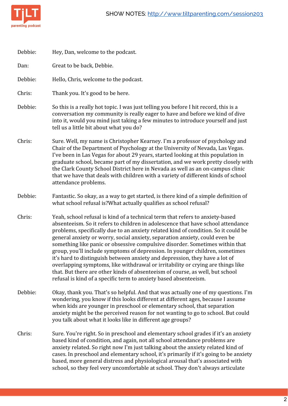

| Debbie: | Hey, Dan, welcome to the podcast.                                                                                                                                                                                                                                                                                                                                                                                                                                                                                                                                                                                                                                                                                                                                                                                             |
|---------|-------------------------------------------------------------------------------------------------------------------------------------------------------------------------------------------------------------------------------------------------------------------------------------------------------------------------------------------------------------------------------------------------------------------------------------------------------------------------------------------------------------------------------------------------------------------------------------------------------------------------------------------------------------------------------------------------------------------------------------------------------------------------------------------------------------------------------|
| Dan:    | Great to be back, Debbie.                                                                                                                                                                                                                                                                                                                                                                                                                                                                                                                                                                                                                                                                                                                                                                                                     |
| Debbie: | Hello, Chris, welcome to the podcast.                                                                                                                                                                                                                                                                                                                                                                                                                                                                                                                                                                                                                                                                                                                                                                                         |
| Chris:  | Thank you. It's good to be here.                                                                                                                                                                                                                                                                                                                                                                                                                                                                                                                                                                                                                                                                                                                                                                                              |
| Debbie: | So this is a really hot topic. I was just telling you before I hit record, this is a<br>conversation my community is really eager to have and before we kind of dive<br>into it, would you mind just taking a few minutes to introduce yourself and just<br>tell us a little bit about what you do?                                                                                                                                                                                                                                                                                                                                                                                                                                                                                                                           |
| Chris:  | Sure. Well, my name is Christopher Kearney. I'm a professor of psychology and<br>Chair of the Department of Psychology at the University of Nevada, Las Vegas.<br>I've been in Las Vegas for about 29 years, started looking at this population in<br>graduate school, became part of my dissertation, and we work pretty closely with<br>the Clark County School District here in Nevada as well as an on-campus clinic<br>that we have that deals with children with a variety of different kinds of school<br>attendance problems.                                                                                                                                                                                                                                                                                         |
| Debbie: | Fantastic. So okay, as a way to get started, is there kind of a simple definition of<br>what school refusal is?What actually qualifies as school refusal?                                                                                                                                                                                                                                                                                                                                                                                                                                                                                                                                                                                                                                                                     |
| Chris:  | Yeah, school refusal is kind of a technical term that refers to anxiety-based<br>absenteeism. So it refers to children in adolescence that have school attendance<br>problems, specifically due to an anxiety related kind of condition. So it could be<br>general anxiety or worry, social anxiety, separation anxiety, could even be<br>something like panic or obsessive compulsive disorder. Sometimes within that<br>group, you'll include symptoms of depression. In younger children, sometimes<br>it's hard to distinguish between anxiety and depression, they have a lot of<br>overlapping symptoms, like withdrawal or irritability or crying are things like<br>that. But there are other kinds of absenteeism of course, as well, but school<br>refusal is kind of a specific term to anxiety based absenteeism. |
| Debbie: | Okay, thank you. That's so helpful. And that was actually one of my questions. I'm                                                                                                                                                                                                                                                                                                                                                                                                                                                                                                                                                                                                                                                                                                                                            |

- wondering, you know if this looks different at different ages, because I assume when kids are younger in preschool or elementary school, that separation anxiety might be the perceived reason for not wanting to go to school. But could you talk about what it looks like in different age groups?
- Chris: Sure. You're right. So in preschool and elementary school grades if it's an anxiety based kind of condition, and again, not all school attendance problems are anxiety related. So right now I'm just talking about the anxiety related kind of cases. In preschool and elementary school, it's primarily if it's going to be anxiety based, more general distress and physiological arousal that's associated with school, so they feel very uncomfortable at school. They don't always articulate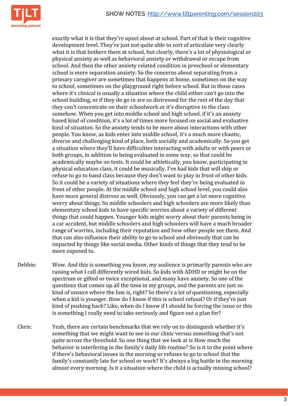

exactly what it is that they're upset about at school. Part of that is their cognitive development level. They're just not quite able to sort of articulate very clearly what it is that bothers them at school, but clearly, there's a lot of physiological or physical anxiety as well as behavioral anxiety or withdrawal or escape from school. And then the other anxiety related condition in preschool or elementary school is more separation anxiety. So the concerns about separating from a primary caregiver are sometimes that happens at home, sometimes on the way to school, sometimes on the playground right before school. But in those cases where it's clinical is usually a situation where the child either can't go into the school building, or if they do go in are so distressed for the rest of the day that they can't concentrate on their schoolwork or it's disruptive to the class somehow. When you get into middle school and high school, if it's an anxiety based kind of condition, it's a lot of times more focused on social and evaluative kind of situation. So the anxiety tends to be more about interactions with other people. You know, as kids enter into middle school, it's a much more chaotic, diverse and challenging kind of place, both socially and academically. So you get a situation where they'll have difficulties interacting with adults or with peers or both groups, in addition to being evaluated in some way, so that could be academically maybe on tests. It could be athletically, you know, participating in physical education class, it could be musically. I've had kids that will skip or refuse to go to band class because they don't want to play in front of other kids. So it could be a variety of situations where they feel they're being evaluated in front of other people. At the middle school and high school level, you could also have more general distress as well. Obviously, you can get a lot more cognitive worry about things. So middle schoolers and high schoolers are more likely than elementary school kids to have specific worries about a variety of different things that could happen. Younger kids might worry about their parents being in a car accident, but middle schoolers and high schoolers will have a much broader range of worries, including their reputation and how other people see them. And that can also influence their ability to go to school and obviously that can be impacted by things like social media. Other kinds of things that they tend to be more exposed to.

- Debbie: Wow. And this is something you know, my audience is primarily parents who are raising what I call differently wired kids. So kids with ADHD or might be on the spectrum or gifted or twice exceptional, and many have anxiety. So one of the questions that comes up all the time in my groups, and the parents are just so kind of unsure where the line is, right? So there's a lot of questioning, especially when a kid is younger. How do I know if this is school refusal? Or if they're just kind of pushing back? Like, when do I know if I should be forcing the issue or this is something I really need to take seriously and figure out a plan for?
- Chris: Yeah, there are certain benchmarks that we rely on to distinguish whether it's something that we might want to see in our clinic versus something that's not quite across the threshold. So one thing that we look at is How much the behavior is interfering in the family's daily life routine? So is it to the point where if there's behavioral issues in the morning or refuses to go to school that the family's constantly late for school or work? It's always a big battle in the morning almost every morning. Is it a situation where the child is actually missing school?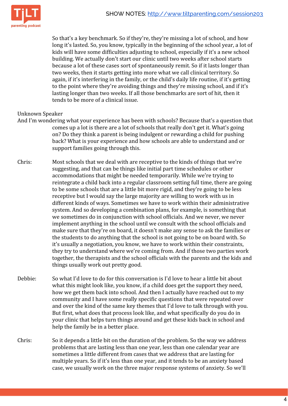So that's a key benchmark. So if they're, they're missing a lot of school, and how long it's lasted. So, you know, typically in the beginning of the school year, a lot of kids will have some difficulties adjusting to school, especially if it's a new school building. We actually don't start our clinic until two weeks after school starts because a lot of these cases sort of spontaneously remit. So if it lasts longer than two weeks, then it starts getting into more what we call clinical territory. So again, if it's interfering in the family, or the child's daily life routine, if it's getting to the point where they're avoiding things and they're missing school, and if it's lasting longer than two weeks. If all those benchmarks are sort of hit, then it tends to be more of a clinical issue.

## Unknown Speaker

- And I'm wondering what your experience has been with schools? Because that's a question that comes up a lot is there are a lot of schools that really don't get it. What's going on? Do they think a parent is being indulgent or rewarding a child for pushing back? What is your experience and how schools are able to understand and or support families going through this.
- Chris: Most schools that we deal with are receptive to the kinds of things that we're suggesting, and that can be things like initial part time schedules or other accommodations that might be needed temporarily. While we're trying to reintegrate a child back into a regular classroom setting full time, there are going to be some schools that are a little bit more rigid, and they're going to be less receptive but I would say the large majority are willing to work with us in different kinds of ways. Sometimes we have to work within their administrative system. And so developing a combination plans, for example, is something that we sometimes do in conjunction with school officials. And we never, we never implement anything in the school until we consult with the school officials and make sure that they're on board, it doesn't make any sense to ask the families or the students to do anything that the school is not going to be on board with. So it's usually a negotiation, you know, we have to work within their constraints, they try to understand where we're coming from. And if those two parties work together, the therapists and the school officials with the parents and the kids and things usually work out pretty good.
- Debbie: So what I'd love to do for this conversation is I'd love to hear a little bit about what this might look like, you know, if a child does get the support they need, how we get them back into school. And then I actually have reached out to my community and I have some really specific questions that were repeated over and over the kind of the same key themes that I'd love to talk through with you. But first, what does that process look like, and what specifically do you do in your clinic that helps turn things around and get these kids back in school and help the family be in a better place.
- Chris: So it depends a little bit on the duration of the problem. So the way we address problems that are lasting less than one year, less than one calendar year are sometimes a little different from cases that we address that are lasting for multiple years. So if it's less than one year, and it tends to be an anxiety based case, we usually work on the three major response systems of anxiety. So we'll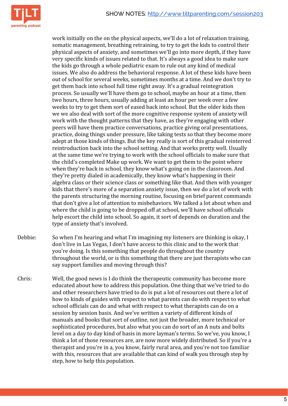

work initially on the on the physical aspects, we'll do a lot of relaxation training, somatic management, breathing retraining, to try to get the kids to control their physical aspects of anxiety, and sometimes we'll go into more depth, if they have very specific kinds of issues related to that. It's always a good idea to make sure the kids go through a whole pediatric exam to rule out any kind of medical issues. We also do address the behavioral response. A lot of these kids have been out of school for several weeks, sometimes months at a time. And we don't try to get them back into school full time right away. It's a gradual reintegration process. So usually we'll have them go to school, maybe an hour at a time, then two hours, three hours, usually adding at least an hour per week over a few weeks to try to get them sort of eased back into school. But the older kids then we we also deal with sort of the more cognitive response system of anxiety will work with the thought patterns that they have, as they're engaging with other peers will have them practice conversations, practice giving oral presentations, practice, doing things under pressure, like taking tests so that they become more adept at those kinds of things. But the key really is sort of this gradual reinterred reintroduction back into the school setting. And that works pretty well. Usually at the same time we're trying to work with the school officials to make sure that the child's completed Make up work. We want to get them to the point where when they're back in school, they know what's going on in the classroom. And they're pretty dialed in academically, they know what's happening in their algebra class or their science class or something like that. And then with younger kids that there's more of a separation anxiety issue, then we do a lot of work with the parents structuring the morning routine, focusing on brief parent commands that don't give a lot of attention to misbehaviors. We talked a lot about when and where the child is going to be dropped off at school, we'll have school officials help escort the child into school. So again, it sort of depends on duration and the type of anxiety that's involved.

Debbie: So when I'm hearing and what I'm imagining my listeners are thinking is okay, I don't live in Las Vegas, I don't have access to this clinic and to the work that you're doing. Is this something that people do throughout the country throughout the world, or is this something that there are just therapists who can say support families and moving through this?

Chris: Well, the good news is I do think the therapeutic community has become more educated about how to address this population. One thing that we've tried to do and other researchers have tried to do is put a lot of resources out there a lot of how to kinds of guides with respect to what parents can do with respect to what school officials can do and what with respect to what therapists can do on a session by session basis. And we've written a variety of different kinds of manuals and books that sort of outline, not just the broader, more technical or sophisticated procedures, but also what you can do sort of an A nuts and bolts level on a day to day kind of basis in more layman's terms. So we've, you know, I think a lot of those resources are, are now more widely distributed. So if you're a therapist and you're in a, you know, fairly rural area, and you're not too familiar with this, resources that are available that can kind of walk you through step by step, how to help this population.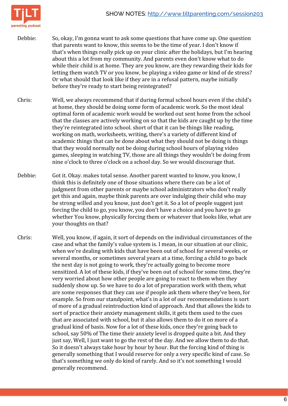

Debbie: So, okay, I'm gonna want to ask some questions that have come up. One question that parents want to know, this seems to be the time of year. I don't know if that's when things really pick up on your clinic after the holidays, but I'm hearing about this a lot from my community. And parents even don't know what to do while their child is at home. They are you know, are they rewarding their kids for letting them watch TV or you know, be playing a video game or kind of de stress? Or what should that look like if they are in a refusal pattern, maybe initially before they're ready to start being reintegrated?

- Chris: Well, we always recommend that if during formal school hours even if the child's at home, they should be doing some form of academic work. So the most ideal optimal form of academic work would be worked out sent home from the school that the classes are actively working on so that the kids are caught up by the time they're reintegrated into school. short of that it can be things like reading, working on math, worksheets, writing, there's a variety of different kind of academic things that can be done about what they should not be doing is things that they would normally not be doing during school hours of playing video games, sleeping in watching TV, those are all things they wouldn't be doing from nine o'clock to three o'clock on a school day. So we would discourage that.
- Debbie: Got it. Okay. makes total sense. Another parent wanted to know, you know, I think this is definitely one of those situations where there can be a lot of judgment from other parents or maybe school administrators who don't really get this and again, maybe think parents are over indulging their child who may be strong willed and you know, just don't get it. So a lot of people suggest just forcing the child to go, you know, you don't have a choice and you have to go whether You know, physically forcing them or whatever that looks like, what are your thoughts on that?
- Chris: Well, you know, if again, it sort of depends on the individual circumstances of the case and what the family's value system is. I mean, in our situation at our clinic, when we're dealing with kids that have been out of school for several weeks, or several months, or sometimes several years at a time, forcing a child to go back the next day is not going to work, they're actually going to become more sensitized. A lot of these kids, if they've been out of school for some time, they're very worried about how other people are going to react to them when they suddenly show up. So we have to do a lot of preparation work with them, what are some responses that they can use if people ask them where they've been, for example. So from our standpoint, what's in a lot of our recommendations is sort of more of a gradual reintroduction kind of approach. And that allows the kids to sort of practice their anxiety management skills, it gets them used to the cues that are associated with school, but it also allows them to do it on more of a gradual kind of basis. Now for a lot of these kids, once they're going back to school, say 50% of The time their anxiety level is dropped quite a bit. And they just say, Well, I just want to go the rest of the day. And we allow them to do that. So it doesn't always take hour by hour by hour. But the forcing kind of thing is generally something that I would reserve for only a very specific kind of case. So that's something we only do kind of rarely. And so it's not something I would generally recommend.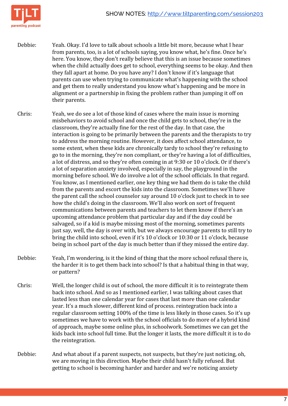

- Debbie: Yeah. Okay. I'd love to talk about schools a little bit more, because what I hear from parents, too, is a lot of schools saying, you know what, he's fine. Once he's here. You know, they don't really believe that this is an issue because sometimes when the child actually does get to school, everything seems to be okay. And then they fall apart at home. Do you have any? I don't know if it's language that parents can use when trying to communicate what's happening with the school and get them to really understand you know what's happening and be more in alignment or a partnership in fixing the problem rather than jumping it off on their parents.
- Chris: Yeah, we do see a lot of those kind of cases where the main issue is morning misbehaviors to avoid school and once the child gets to school, they're in the classroom, they're actually fine for the rest of the day. In that case, the interaction is going to be primarily between the parents and the therapists to try to address the morning routine. However, it does affect school attendance, to some extent, when these kids are chronically tardy to school they're refusing to go to in the morning, they're non compliant, or they're having a lot of difficulties, a lot of distress, and so they're often coming in at 9:30 or 10 o'clock. Or if there's a lot of separation anxiety involved, especially in say, the playground in the morning before school. We do involve a lot of the school officials. In that regard. You know, as I mentioned earlier, one key thing we had them do is take the child from the parents and escort the kids into the classroom. Sometimes we'll have the parent call the school counselor say around 10 o'clock just to check in to see how the child's doing in the classroom. We'll also work on sort of frequent communications between parents and teachers to let them know if there's an upcoming attendance problem that particular day and if the day could be salvaged, so if a kid is maybe missing most of the morning, sometimes parents just say, well, the day is over with, but we always encourage parents to still try to bring the child into school, even if it's 10 o'clock or 10:30 or 11 o'clock, because being in school part of the day is much better than if they missed the entire day.
- Debbie: Yeah, I'm wondering, is it the kind of thing that the more school refusal there is, the harder it is to get them back into school? Is that a habitual thing in that way, or pattern?
- Chris: Well, the longer child is out of school, the more difficult it is to reintegrate them back into school. And so as I mentioned earlier, I was talking about cases that lasted less than one calendar year for cases that last more than one calendar year. It's a much slower, different kind of process. reintegration back into a regular classroom setting 100% of the time is less likely in those cases. So it's up sometimes we have to work with the school officials to do more of a hybrid kind of approach, maybe some online plus, in schoolwork. Sometimes we can get the kids back into school full time. But the longer it lasts, the more difficult it is to do the reintegration.
- Debbie: And what about if a parent suspects, not suspects, but they're just noticing, oh, we are moving in this direction. Maybe their child hasn't fully refused. But getting to school is becoming harder and harder and we're noticing anxiety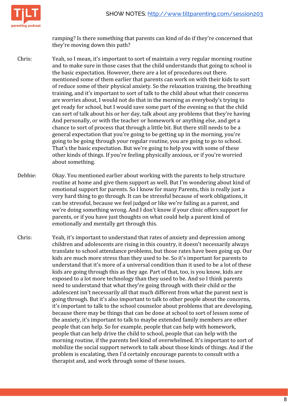

ramping? Is there something that parents can kind of do if they're concerned that they're moving down this path?

- Chris: Yeah, so I mean, it's important to sort of maintain a very regular morning routine and to make sure in those cases that the child understands that going to school is the basic expectation. However, there are a lot of procedures out there. mentioned some of them earlier that parents can work on with their kids to sort of reduce some of their physical anxiety. So the relaxation training, the breathing training, and it's important to sort of talk to the child about what their concerns are worries about, I would not do that in the morning as everybody's trying to get ready for school, but I would save some part of the evening so that the child can sort of talk about his or her day, talk about any problems that they're having And personally, or with the teacher or homework or anything else, and get a chance to sort of process that through a little bit. But there still needs to be a general expectation that you're going to be getting up in the morning, you're going to be going through your regular routine, you are going to go to school. That's the basic expectation. But we're going to help you with some of these other kinds of things. If you're feeling physically anxious, or if you're worried about something.
- Debbie: Okay. You mentioned earlier about working with the parents to help structure routine at home and give them support as well. But I'm wondering about kind of emotional support for parents. So I know for many Parents, this is really just a very hard thing to go through. It can be stressful because of work obligations, it can be stressful, because we feel judged or like we're failing as a parent, and we're doing something wrong. And I don't know if your clinic offers support for parents, or if you have just thoughts on what could help a parent kind of emotionally and mentally get through this.
- Chris: Yeah, it's important to understand that rates of anxiety and depression among children and adolescents are rising in this country, it doesn't necessarily always translate to school attendance problems, but those rates have been going up. Our kids are much more stress than they used to be. So it's important for parents to understand that it's more of a universal condition than it used to be a lot of these kids are going through this as they age. Part of that, too, is you know, kids are exposed to a lot more technology than they used to be. And so I think parents need to understand that what they're going through with their child or the adolescent isn't necessarily all that much different from what the parent next is going through. But it's also important to talk to other people about the concerns, it's important to talk to the school counselor about problems that are developing, because there may be things that can be done at school to sort of lessen some of the anxiety, it's important to talk to maybe extended family members are other people that can help. So for example, people that can help with homework, people that can help drive the child to school, people that can help with the morning routine, if the parents feel kind of overwhelmed. It's important to sort of mobilize the social support network to talk about those kinds of things. And if the problem is escalating, then I'd certainly encourage parents to consult with a therapist and, and work through some of these issues.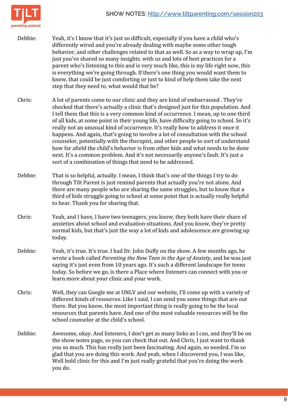

Debbie: Yeah, it's I know that it's just so difficult, especially if you have a child who's differently wired and you're already dealing with maybe some other tough behavior, and other challenges related to that as well. So as a way to wrap up, I'm just you've shared so many insights. with us and lots of best practices for a parent who's listening to this and is very much like, this is my life right now, this is everything we're going through. If there's one thing you would want them to know, that could be just comforting or just to kind of help them take the next step that they need to, what would that be?

- Chris: A lot of parents come to our clinic and they are kind of embarrassed . They're shocked that there's actually a clinic that's designed just for this population. And I tell them that this is a very common kind of occurrence. I mean, up to one third of all kids, at some point in their young life, have difficulty going to school. So it's really not an unusual kind of occurrence. It's really how to address it once it happens. And again, that's going to involve a lot of consultation with the school counselor, potentially with the therapist, and other people to sort of understand how far afield the child's behavior is from other kids and what needs to be done next. It's a common problem. And it's not necessarily anyone's fault. It's just a sort of a combination of things that need to be addressed.
- Debbie: That is so helpful, actually. I mean, I think that's one of the things I try to do through Tilt Parent is just remind parents that actually you're not alone. And there are many people who are sharing the same struggles, but to know that a third of kids struggle going to school at some point that is actually really helpful to hear. Thank you for sharing that.
- Chris: Yeah, and I have, I have two teenagers, you know, they both have their share of anxieties about school and evaluation situations. And you know, they're pretty normal kids, but that's just the way a lot of kids and adolescence are growing up today.
- Debbie: Yeah, it's true. It's true. I had Dr. John Duffy on the show. A few months ago, he wrote a book called *Parenting the New Teen in the Age of Anxiety*, and he was just saying it's just even from 10 years ago. It's such a different landscape for teens today. So before we go, is there a Place where listeners can connect with you or learn more about your clinic and your work.
- Chris: Well, they can Google me at UNLV and our website, I'll come up with a variety of different kinds of resources. Like I said, I can send you some things that are out there. But you know, the most important thing is really going to be the local resources that parents have. And one of the most valuable resources will be the school counselor at the child's school.
- Debbie: Awesome, okay. And listeners, I don't get as many links as I can, and they'll be on the show notes page, so you can check that out. And Chris, I just want to thank you so much. This has really just been fascinating. And again, so needed. I'm so glad that you are doing this work. And yeah, when I discovered you, I was like, Well hold clinic for this and I'm just really grateful that you're doing the work you do.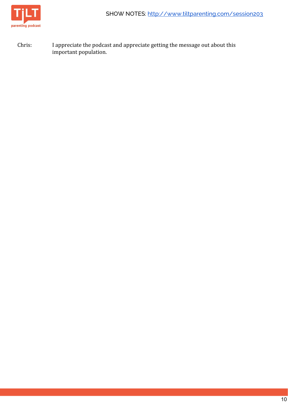Chris: I appreciate the podcast and appreciate getting the message out about this important population.